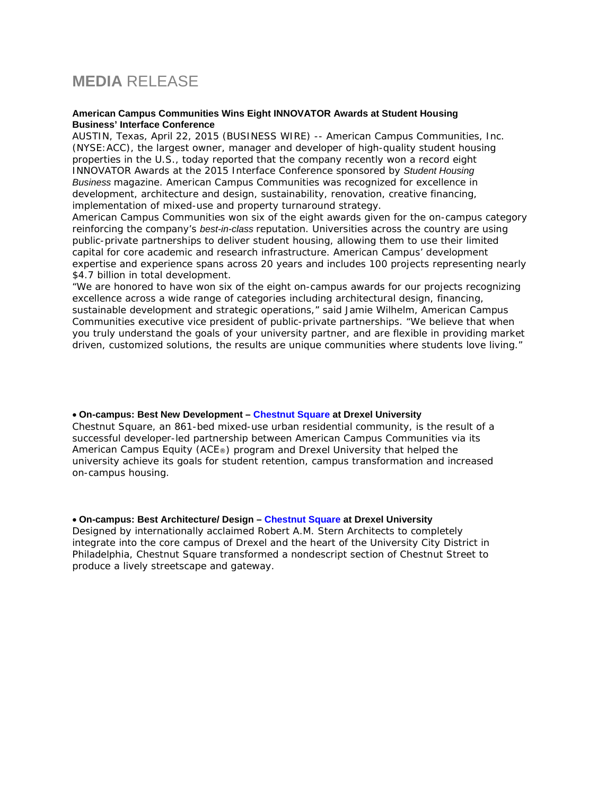## **MEDIA** RELEASE

## **American Campus Communities Wins Eight INNOVATOR Awards at Student Housing Business' Interface Conference**

AUSTIN, Texas, April 22, 2015 (BUSINESS WIRE) -- American Campus Communities, Inc. (NYSE:ACC), the largest owner, manager and developer of high-quality student housing properties in the U.S., today reported that the company recently won a record eight INNOVATOR Awards at the 2015 Interface Conference sponsored by *Student Housing Business* magazine. American Campus Communities was recognized for excellence in development, architecture and design, sustainability, renovation, creative financing, implementation of mixed-use and property turnaround strategy.

American Campus Communities won six of the eight awards given for the on-campus category reinforcing the company's *best-in-class* reputation. Universities across the country are using public-private partnerships to deliver student housing, allowing them to use their limited capital for core academic and research infrastructure. American Campus' development expertise and experience spans across 20 years and includes 100 projects representing nearly \$4.7 billion in total development.

"We are honored to have won six of the eight on-campus awards for our projects recognizing excellence across a wide range of categories including architectural design, financing, sustainable development and strategic operations," said Jamie Wilhelm, American Campus Communities executive vice president of public-private partnerships. "We believe that when you truly understand the goals of your university partner, and are flexible in providing market driven, customized solutions, the results are unique communities where students love living."

## • **On-campus: Best New Development – Chestnut Square at Drexel University**

Chestnut Square, an 861-bed mixed-use urban residential community, is the result of a successful developer-led partnership between American Campus Communities via its American Campus Equity (ACE®) program and Drexel University that helped the university achieve its goals for student retention, campus transformation and increased on-campus housing.

## • **On-campus: Best Architecture/ Design – Chestnut Square at Drexel University**

Designed by internationally acclaimed Robert A.M. Stern Architects to completely integrate into the core campus of Drexel and the heart of the University City District in Philadelphia, Chestnut Square transformed a nondescript section of Chestnut Street to produce a lively streetscape and gateway.